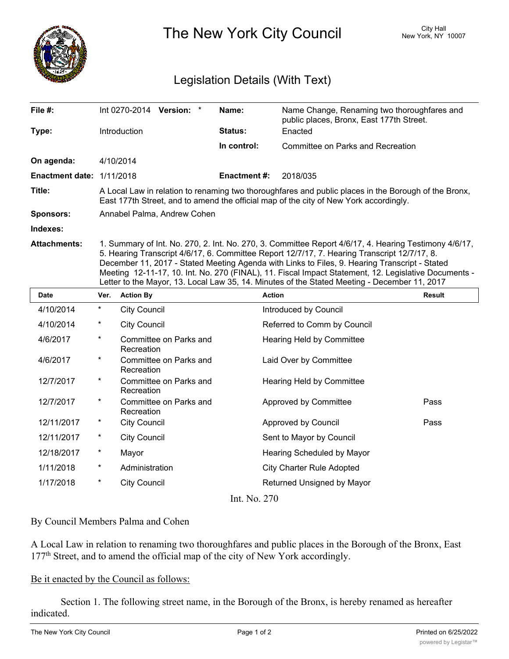

The New York City Council New York, NY 10007

## Legislation Details (With Text)

| File #:                   | Int $0270 - 2014$ Version:                                                                                                                                                                                                                                                                                                                                                                                     | Name:               | Name Change, Renaming two thoroughfares and<br>public places, Bronx, East 177th Street. |  |  |
|---------------------------|----------------------------------------------------------------------------------------------------------------------------------------------------------------------------------------------------------------------------------------------------------------------------------------------------------------------------------------------------------------------------------------------------------------|---------------------|-----------------------------------------------------------------------------------------|--|--|
| Type:                     | <b>Introduction</b>                                                                                                                                                                                                                                                                                                                                                                                            | <b>Status:</b>      | Enacted                                                                                 |  |  |
|                           |                                                                                                                                                                                                                                                                                                                                                                                                                | In control:         | Committee on Parks and Recreation                                                       |  |  |
| On agenda:                | 4/10/2014                                                                                                                                                                                                                                                                                                                                                                                                      |                     |                                                                                         |  |  |
| Enactment date: 1/11/2018 |                                                                                                                                                                                                                                                                                                                                                                                                                | <b>Enactment #:</b> | 2018/035                                                                                |  |  |
| Title:                    | A Local Law in relation to renaming two thoroughfares and public places in the Borough of the Bronx,<br>East 177th Street, and to amend the official map of the city of New York accordingly.                                                                                                                                                                                                                  |                     |                                                                                         |  |  |
| <b>Sponsors:</b>          | Annabel Palma, Andrew Cohen                                                                                                                                                                                                                                                                                                                                                                                    |                     |                                                                                         |  |  |
| Indexes:                  |                                                                                                                                                                                                                                                                                                                                                                                                                |                     |                                                                                         |  |  |
| <b>Attachments:</b>       | 1. Summary of Int. No. 270, 2. Int. No. 270, 3. Committee Report 4/6/17, 4. Hearing Testimony 4/6/17,<br>5. Hearing Transcript 4/6/17, 6. Committee Report 12/7/17, 7. Hearing Transcript 12/7/17, 8.<br>December 11, 2017 - Stated Meeting Agenda with Links to Files, 9. Hearing Transcript - Stated<br>Meeting 12-11-17, 10. Int. No. 270 (FINAL), 11. Fiscal Impact Statement, 12. Legislative Documents - |                     |                                                                                         |  |  |

Letter to the Mayor, 13. Local Law 35, 14. Minutes of the Stated Meeting - December 11, 2017

| Date         | Ver.     | <b>Action By</b>                     | <b>Action</b>                    | <b>Result</b> |
|--------------|----------|--------------------------------------|----------------------------------|---------------|
| 4/10/2014    | $\star$  | <b>City Council</b>                  | Introduced by Council            |               |
| 4/10/2014    | $\ast$   | <b>City Council</b>                  | Referred to Comm by Council      |               |
| 4/6/2017     | $\star$  | Committee on Parks and<br>Recreation | Hearing Held by Committee        |               |
| 4/6/2017     | $\ast$   | Committee on Parks and<br>Recreation | Laid Over by Committee           |               |
| 12/7/2017    | $\ast$   | Committee on Parks and<br>Recreation | <b>Hearing Held by Committee</b> |               |
| 12/7/2017    | $\ast$   | Committee on Parks and<br>Recreation | Approved by Committee            | Pass          |
| 12/11/2017   | $\ast$   | <b>City Council</b>                  | Approved by Council              | Pass          |
| 12/11/2017   | $^\star$ | <b>City Council</b>                  | Sent to Mayor by Council         |               |
| 12/18/2017   | $^\ast$  | Mayor                                | Hearing Scheduled by Mayor       |               |
| 1/11/2018    | $\star$  | Administration                       | <b>City Charter Rule Adopted</b> |               |
| 1/17/2018    | $^\ast$  | <b>City Council</b>                  | Returned Unsigned by Mayor       |               |
| Int. No. 270 |          |                                      |                                  |               |

## By Council Members Palma and Cohen

A Local Law in relation to renaming two thoroughfares and public places in the Borough of the Bronx, East 177<sup>th</sup> Street, and to amend the official map of the city of New York accordingly.

## Be it enacted by the Council as follows:

Section 1. The following street name, in the Borough of the Bronx, is hereby renamed as hereafter indicated.